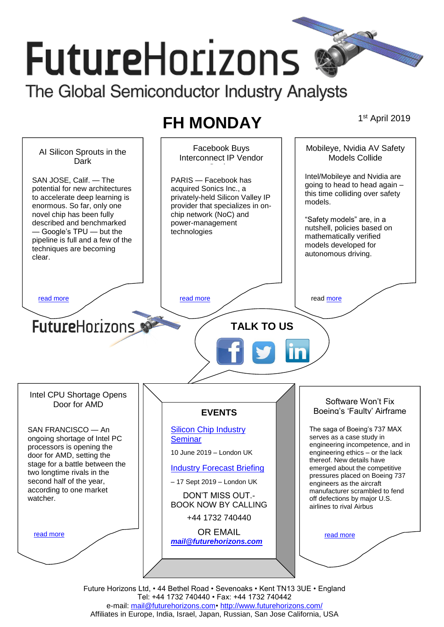# **FutureHorizons** The Global Semiconductor Industry Analysts

**FH MONDAY** 

1st April 2019



Future Horizons Ltd, • 44 Bethel Road • Sevenoaks • Kent TN13 3UE • England Tel: +44 1732 740440 • Fax: +44 1732 740442 e-mail: [mail@futurehorizons.com•](../FH%20Monday%20-%202017/mail@futurehorizons.com)<http://www.futurehorizons.com/> Affiliates in Europe, India, Israel, Japan, Russian, San Jose California, USA